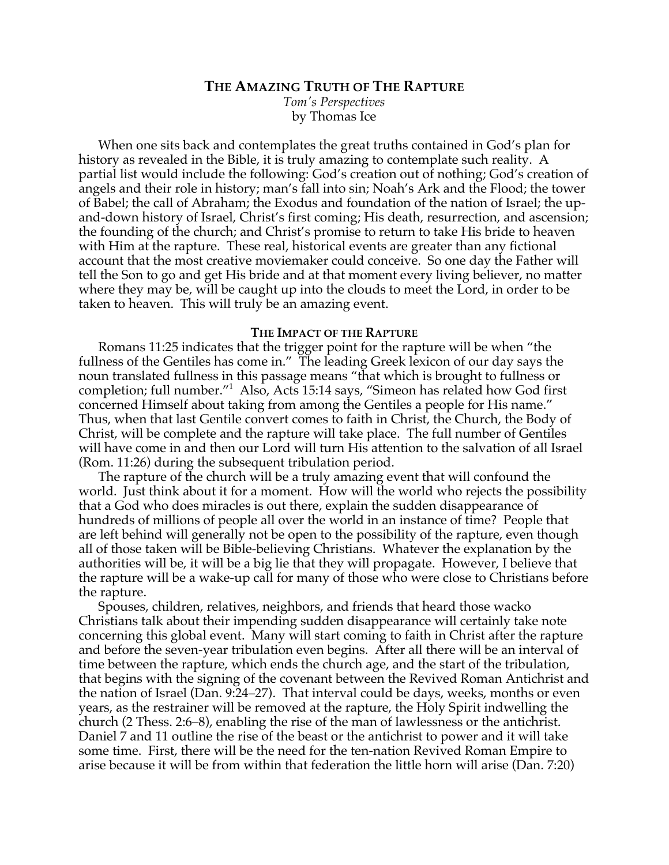# **THE AMAZING TRUTH OF THE RAPTURE**

*Tom's Perspectives* by Thomas Ice

When one sits back and contemplates the great truths contained in God's plan for history as revealed in the Bible, it is truly amazing to contemplate such reality. A partial list would include the following: God's creation out of nothing; God's creation of angels and their role in history; man's fall into sin; Noah's Ark and the Flood; the tower of Babel; the call of Abraham; the Exodus and foundation of the nation of Israel; the upand-down history of Israel, Christ's first coming; His death, resurrection, and ascension; the founding of the church; and Christ's promise to return to take His bride to heaven with Him at the rapture. These real, historical events are greater than any fictional account that the most creative moviemaker could conceive. So one day the Father will tell the Son to go and get His bride and at that moment every living believer, no matter where they may be, will be caught up into the clouds to meet the Lord, in order to be taken to heaven. This will truly be an amazing event.

### **THE IMPACT OF THE RAPTURE**

Romans 11:25 indicates that the trigger point for the rapture will be when "the fullness of the Gentiles has come in." The leading Greek lexicon of our day says the noun translated fullness in this passage means "that which is brought to fullness or completion; full number."1 Also, Acts 15:14 says, "Simeon has related how God first concerned Himself about taking from among the Gentiles a people for His name." Thus, when that last Gentile convert comes to faith in Christ, the Church, the Body of Christ, will be complete and the rapture will take place. The full number of Gentiles will have come in and then our Lord will turn His attention to the salvation of all Israel (Rom. 11:26) during the subsequent tribulation period.

The rapture of the church will be a truly amazing event that will confound the world. Just think about it for a moment. How will the world who rejects the possibility that a God who does miracles is out there, explain the sudden disappearance of hundreds of millions of people all over the world in an instance of time? People that are left behind will generally not be open to the possibility of the rapture, even though all of those taken will be Bible-believing Christians. Whatever the explanation by the authorities will be, it will be a big lie that they will propagate. However, I believe that the rapture will be a wake-up call for many of those who were close to Christians before the rapture.

Spouses, children, relatives, neighbors, and friends that heard those wacko Christians talk about their impending sudden disappearance will certainly take note concerning this global event. Many will start coming to faith in Christ after the rapture and before the seven-year tribulation even begins. After all there will be an interval of time between the rapture, which ends the church age, and the start of the tribulation, that begins with the signing of the covenant between the Revived Roman Antichrist and the nation of Israel (Dan. 9:24–27). That interval could be days, weeks, months or even years, as the restrainer will be removed at the rapture, the Holy Spirit indwelling the church (2 Thess. 2:6–8), enabling the rise of the man of lawlessness or the antichrist. Daniel 7 and 11 outline the rise of the beast or the antichrist to power and it will take some time. First, there will be the need for the ten-nation Revived Roman Empire to arise because it will be from within that federation the little horn will arise (Dan. 7:20)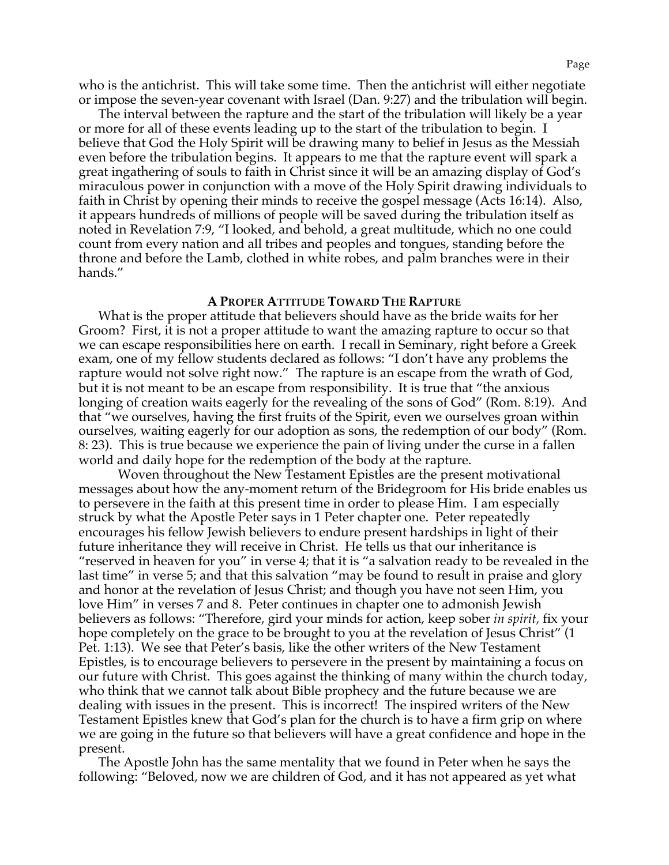who is the antichrist. This will take some time. Then the antichrist will either negotiate or impose the seven-year covenant with Israel (Dan. 9:27) and the tribulation will begin.

The interval between the rapture and the start of the tribulation will likely be a year or more for all of these events leading up to the start of the tribulation to begin. I believe that God the Holy Spirit will be drawing many to belief in Jesus as the Messiah even before the tribulation begins. It appears to me that the rapture event will spark a great ingathering of souls to faith in Christ since it will be an amazing display of God's miraculous power in conjunction with a move of the Holy Spirit drawing individuals to faith in Christ by opening their minds to receive the gospel message (Acts 16:14). Also, it appears hundreds of millions of people will be saved during the tribulation itself as noted in Revelation 7:9, "I looked, and behold, a great multitude, which no one could count from every nation and all tribes and peoples and tongues, standing before the throne and before the Lamb, clothed in white robes, and palm branches were in their hands."

#### **A PROPER ATTITUDE TOWARD THE RAPTURE**

What is the proper attitude that believers should have as the bride waits for her Groom? First, it is not a proper attitude to want the amazing rapture to occur so that we can escape responsibilities here on earth. I recall in Seminary, right before a Greek exam, one of my fellow students declared as follows: "I don't have any problems the rapture would not solve right now." The rapture is an escape from the wrath of God, but it is not meant to be an escape from responsibility. It is true that "the anxious longing of creation waits eagerly for the revealing of the sons of God" (Rom. 8:19). And that "we ourselves, having the first fruits of the Spirit, even we ourselves groan within ourselves, waiting eagerly for our adoption as sons, the redemption of our body" (Rom. 8: 23). This is true because we experience the pain of living under the curse in a fallen world and daily hope for the redemption of the body at the rapture.

Woven throughout the New Testament Epistles are the present motivational messages about how the any-moment return of the Bridegroom for His bride enables us to persevere in the faith at this present time in order to please Him. I am especially struck by what the Apostle Peter says in 1 Peter chapter one. Peter repeatedly encourages his fellow Jewish believers to endure present hardships in light of their future inheritance they will receive in Christ. He tells us that our inheritance is "reserved in heaven for you" in verse 4; that it is "a salvation ready to be revealed in the last time" in verse 5; and that this salvation "may be found to result in praise and glory and honor at the revelation of Jesus Christ; and though you have not seen Him, you love Him" in verses 7 and 8. Peter continues in chapter one to admonish Jewish believers as follows: "Therefore, gird your minds for action, keep sober *in spirit,* fix your hope completely on the grace to be brought to you at the revelation of Jesus Christ" (1 Pet. 1:13). We see that Peter's basis, like the other writers of the New Testament Epistles, is to encourage believers to persevere in the present by maintaining a focus on our future with Christ. This goes against the thinking of many within the church today, who think that we cannot talk about Bible prophecy and the future because we are dealing with issues in the present. This is incorrect! The inspired writers of the New Testament Epistles knew that God's plan for the church is to have a firm grip on where we are going in the future so that believers will have a great confidence and hope in the present.

The Apostle John has the same mentality that we found in Peter when he says the following: "Beloved, now we are children of God, and it has not appeared as yet what